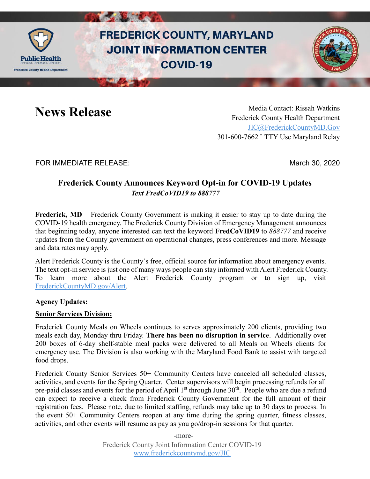

# **FREDERICK COUNTY, MARYLAND JOINT INFORMATION CENTER COVID-19**

**News Release** Media Contact: Rissah Watkins Frederick County Health Department [JIC@FrederickCountyMD.Gov](mailto:JIC@FrederickCountyMD.Gov) 301-600-7662 • TTY Use Maryland Relay

FOR IMMEDIATE RELEASE: March 30, 2020

# **Frederick County Announces Keyword Opt-in for COVID-19 Updates** *Text FredCoVID19 to 888777*

**Frederick, MD** – Frederick County Government is making it easier to stay up to date during the COVID-19 health emergency. The Frederick County Division of Emergency Management announces that beginning today, anyone interested can text the keyword **FredCoVID19** to *888777* and receive updates from the County government on operational changes, press conferences and more. Message and data rates may apply.

Alert Frederick County is the County's free, official source for information about emergency events. The text opt-in service is just one of many ways people can stay informed with Alert Frederick County. To learn more about the Alert Frederick County program or to sign up, visit [FrederickCountyMD.gov/Alert.](http://www.frederickcountymd.gov/alert)

# **Agency Updates:**

## **Senior Services Division:**

Frederick County Meals on Wheels continues to serves approximately 200 clients, providing two meals each day, Monday thru Friday. **There has been no disruption in service**. Additionally over 200 boxes of 6-day shelf-stable meal packs were delivered to all Meals on Wheels clients for emergency use. The Division is also working with the Maryland Food Bank to assist with targeted food drops.

Frederick County Senior Services 50+ Community Centers have canceled all scheduled classes, activities, and events for the Spring Quarter. Center supervisors will begin processing refunds for all pre-paid classes and events for the period of April  $1<sup>st</sup>$  through June  $30<sup>th</sup>$ . People who are due a refund can expect to receive a check from Frederick County Government for the full amount of their registration fees. Please note, due to limited staffing, refunds may take up to 30 days to process. In the event 50+ Community Centers reopen at any time during the spring quarter, fitness classes, activities, and other events will resume as pay as you go/drop-in sessions for that quarter.

> Frederick County Joint Information Center COVID-19 [www.frederickcountymd.gov/JIC](http://www.frederickcountymd.gov/JIC) -more-